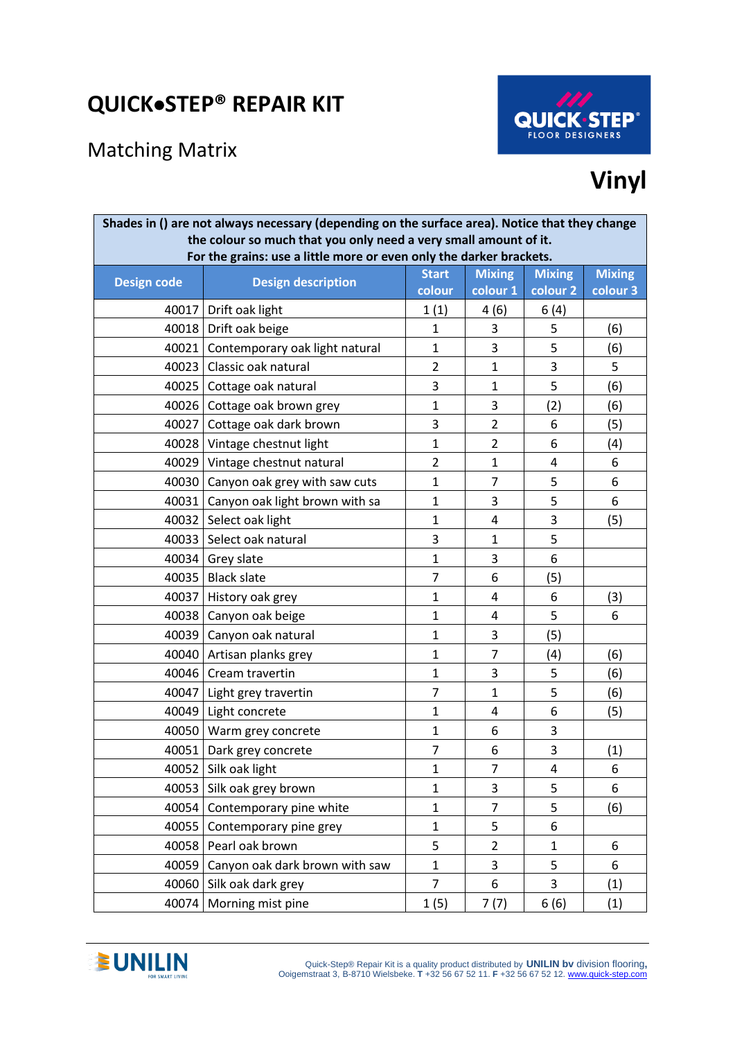## **QUICK**•**STEP® REPAIR KIT**

## Matching Matrix



## **Vinyl**

| Shades in () are not always necessary (depending on the surface area). Notice that they change<br>the colour so much that you only need a very small amount of it.<br>For the grains: use a little more or even only the darker brackets. |                                      |                |                |               |               |  |
|-------------------------------------------------------------------------------------------------------------------------------------------------------------------------------------------------------------------------------------------|--------------------------------------|----------------|----------------|---------------|---------------|--|
| <b>Design code</b>                                                                                                                                                                                                                        | <b>Design description</b>            | <b>Start</b>   | <b>Mixing</b>  | <b>Mixing</b> | <b>Mixing</b> |  |
|                                                                                                                                                                                                                                           |                                      | colour         | colour 1       | colour 2      | colour 3      |  |
| 40017                                                                                                                                                                                                                                     | Drift oak light                      | 1(1)           | 4(6)           | 6(4)          |               |  |
| 40018                                                                                                                                                                                                                                     | Drift oak beige                      | $\mathbf{1}$   | 3              | 5             | (6)           |  |
| 40021                                                                                                                                                                                                                                     | Contemporary oak light natural       | $\mathbf{1}$   | 3              | 5             | (6)           |  |
| 40023                                                                                                                                                                                                                                     | Classic oak natural                  | $\overline{2}$ | $\mathbf{1}$   | 3             | 5             |  |
|                                                                                                                                                                                                                                           | 40025 Cottage oak natural            | 3              | 1              | 5             | (6)           |  |
| 40026                                                                                                                                                                                                                                     | Cottage oak brown grey               | $\mathbf{1}$   | 3              | (2)           | (6)           |  |
| 40027                                                                                                                                                                                                                                     | Cottage oak dark brown               | 3              | $\overline{2}$ | 6             | (5)           |  |
|                                                                                                                                                                                                                                           | 40028 Vintage chestnut light         | $\mathbf{1}$   | $\overline{2}$ | 6             | (4)           |  |
| 40029                                                                                                                                                                                                                                     | Vintage chestnut natural             | $\overline{2}$ | $\mathbf{1}$   | 4             | 6             |  |
|                                                                                                                                                                                                                                           | 40030 Canyon oak grey with saw cuts  | $\mathbf{1}$   | $\overline{7}$ | 5             | 6             |  |
|                                                                                                                                                                                                                                           | 40031 Canyon oak light brown with sa | 1              | 3              | 5             | 6             |  |
| 40032                                                                                                                                                                                                                                     | Select oak light                     | $\mathbf{1}$   | 4              | 3             | (5)           |  |
| 40033                                                                                                                                                                                                                                     | Select oak natural                   | 3              | 1              | 5             |               |  |
| 40034                                                                                                                                                                                                                                     | Grey slate                           | $\mathbf{1}$   | 3              | 6             |               |  |
| 40035                                                                                                                                                                                                                                     | <b>Black slate</b>                   | $\overline{7}$ | 6              | (5)           |               |  |
| 40037                                                                                                                                                                                                                                     | History oak grey                     | 1              | 4              | 6             | (3)           |  |
|                                                                                                                                                                                                                                           | 40038   Canyon oak beige             | $\mathbf{1}$   | 4              | 5             | 6             |  |
| 40039                                                                                                                                                                                                                                     | Canyon oak natural                   | $\mathbf{1}$   | 3              | (5)           |               |  |
| 40040                                                                                                                                                                                                                                     | Artisan planks grey                  | $\mathbf{1}$   | $\overline{7}$ | (4)           | (6)           |  |
| 40046                                                                                                                                                                                                                                     | Cream travertin                      | $\mathbf{1}$   | 3              | 5             | (6)           |  |
| 40047                                                                                                                                                                                                                                     | Light grey travertin                 | $\overline{7}$ | $\mathbf{1}$   | 5             | (6)           |  |
| 40049                                                                                                                                                                                                                                     | Light concrete                       | 1              | 4              | 6             | (5)           |  |
| 40050                                                                                                                                                                                                                                     | Warm grey concrete                   | $\mathbf{1}$   | 6              | 3             |               |  |
| 40051                                                                                                                                                                                                                                     | Dark grey concrete                   | $\overline{7}$ | 6              | 3             | (1)           |  |
| 40052                                                                                                                                                                                                                                     | Silk oak light                       | $\mathbf{1}$   | 7              | 4             | 6             |  |
| 40053                                                                                                                                                                                                                                     | Silk oak grey brown                  | $\mathbf{1}$   | 3              | 5             | 6             |  |
| 40054                                                                                                                                                                                                                                     | Contemporary pine white              | $\mathbf{1}$   | $\overline{7}$ | 5             | (6)           |  |
| 40055                                                                                                                                                                                                                                     | Contemporary pine grey               | $\mathbf{1}$   | 5              | 6             |               |  |
| 40058                                                                                                                                                                                                                                     | Pearl oak brown                      | 5              | $\overline{2}$ | $\mathbf{1}$  | 6             |  |
| 40059                                                                                                                                                                                                                                     | Canyon oak dark brown with saw       | $\mathbf{1}$   | 3              | 5             | 6             |  |
| 40060                                                                                                                                                                                                                                     | Silk oak dark grey                   | $\overline{7}$ | 6              | 3             | (1)           |  |
| 40074                                                                                                                                                                                                                                     | Morning mist pine                    | 1(5)           | 7(7)           | 6(6)          | (1)           |  |

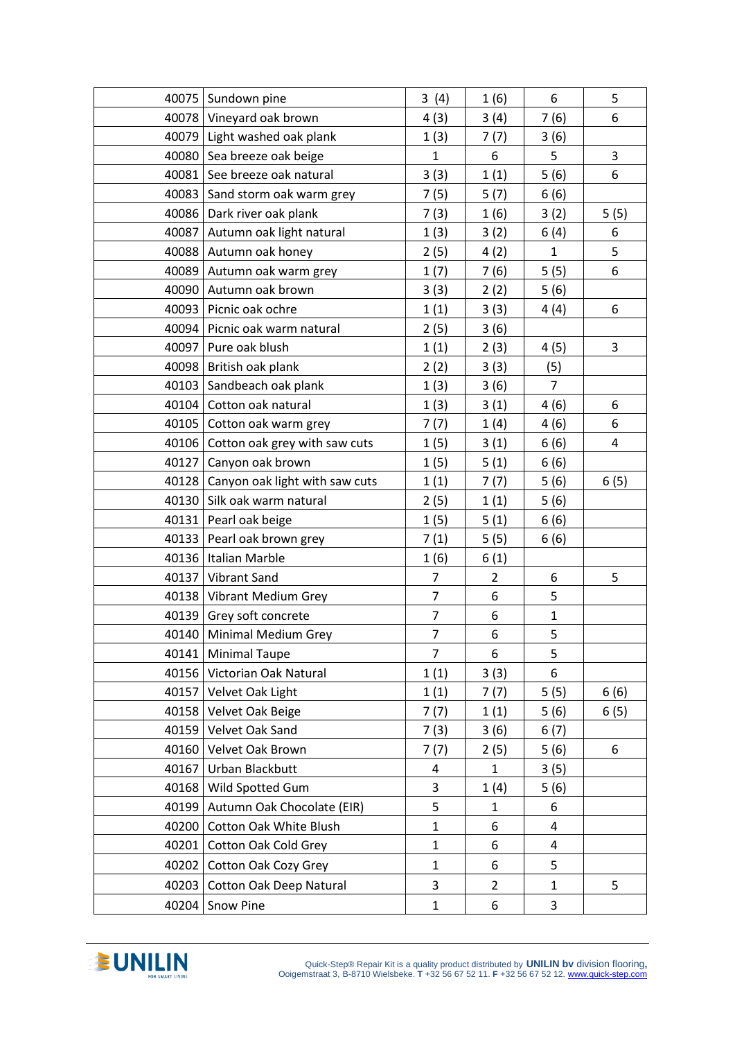|       | 40075 Sundown pine                     | 3(4)                     | 1(6)           | 6              | 5    |
|-------|----------------------------------------|--------------------------|----------------|----------------|------|
|       | 40078 Vineyard oak brown               | 4(3)                     | 3(4)           | 7(6)           | 6    |
|       | 40079 Light washed oak plank           | 1(3)                     | 7(7)           | 3(6)           |      |
|       | 40080 Sea breeze oak beige             | $\mathbf{1}$             | 6              | 5              | 3    |
| 40081 | See breeze oak natural                 | 3(3)                     | 1(1)           | 5(6)           | 6    |
|       | 40083 Sand storm oak warm grey         | 7(5)                     | 5(7)           | 6(6)           |      |
|       | 40086   Dark river oak plank           | 7(3)                     | 1(6)           | 3(2)           | 5(5) |
|       | 40087 Autumn oak light natural         | 1(3)                     | 3(2)           | 6(4)           | 6    |
|       | 40088 Autumn oak honey                 | 2(5)                     | 4(2)           | $\mathbf{1}$   | 5    |
|       | 40089 Autumn oak warm grey             | 1(7)                     | 7(6)           | 5(5)           | 6    |
|       | 40090 Autumn oak brown                 | 3(3)                     | 2(2)           | 5(6)           |      |
|       | 40093   Picnic oak ochre               | 1(1)                     | 3(3)           | 4(4)           | 6    |
|       | 40094 Picnic oak warm natural          | 2(5)                     | 3(6)           |                |      |
|       | 40097   Pure oak blush                 | 1(1)                     | 2(3)           | 4 (5)          | 3    |
|       | 40098 British oak plank                | 2(2)                     | 3(3)           | (5)            |      |
|       | 40103 Sandbeach oak plank              | 1(3)                     | 3(6)           | $\overline{7}$ |      |
|       | 40104 Cotton oak natural               | 1(3)                     | 3(1)           | 4(6)           | 6    |
| 40105 | Cotton oak warm grey                   | 7(7)                     | 1(4)           | 4(6)           | 6    |
|       | 40106   Cotton oak grey with saw cuts  | 1(5)                     | 3(1)           | 6(6)           | 4    |
|       | 40127 Canyon oak brown                 | 1(5)                     | 5(1)           | 6(6)           |      |
|       | 40128   Canyon oak light with saw cuts | 1(1)                     | 7(7)           | 5(6)           | 6(5) |
|       | 40130   Silk oak warm natural          | 2(5)                     | 1(1)           | 5(6)           |      |
|       | 40131   Pearl oak beige                | 1(5)                     | 5(1)           | 6(6)           |      |
| 40133 | Pearl oak brown grey                   | 7(1)                     | 5(5)           | 6(6)           |      |
|       | 40136   Italian Marble                 | 1(6)                     | 6(1)           |                |      |
|       | 40137 Vibrant Sand                     | $\overline{7}$           | $\overline{2}$ | 6              | 5    |
|       | 40138 Vibrant Medium Grey              | $\overline{7}$           | 6              | 5              |      |
|       | 40139 Grey soft concrete               | $\overline{7}$           | 6              | $\mathbf{1}$   |      |
|       | 40140   Minimal Medium Grey            | $\overline{\mathcal{I}}$ | 6              | 5              |      |
| 40141 | <b>Minimal Taupe</b>                   | $\overline{7}$           | 6              | 5              |      |
| 40156 | Victorian Oak Natural                  | 1(1)                     | 3(3)           | 6              |      |
| 40157 | Velvet Oak Light                       | 1(1)                     | 7(7)           | 5(5)           | 6(6) |
|       | 40158 Velvet Oak Beige                 | 7(7)                     | 1(1)           | 5(6)           | 6(5) |
| 40159 | Velvet Oak Sand                        | 7(3)                     | 3(6)           | 6(7)           |      |
| 40160 | Velvet Oak Brown                       | 7(7)                     | 2(5)           | 5(6)           | 6    |
| 40167 | Urban Blackbutt                        | 4                        | $\mathbf{1}$   | 3(5)           |      |
| 40168 | Wild Spotted Gum                       | 3                        | 1(4)           | 5(6)           |      |
|       | 40199   Autumn Oak Chocolate (EIR)     | 5                        | $\mathbf{1}$   | 6              |      |
| 40200 | Cotton Oak White Blush                 | $\mathbf{1}$             | 6              | $\overline{4}$ |      |
| 40201 | <b>Cotton Oak Cold Grey</b>            | $\mathbf{1}$             | 6              | 4              |      |
| 40202 | Cotton Oak Cozy Grey                   | $\mathbf{1}$             | 6              | 5              |      |
| 40203 | <b>Cotton Oak Deep Natural</b>         | 3                        | $\overline{2}$ | $\mathbf{1}$   | 5    |
| 40204 | Snow Pine                              | $\mathbf{1}$             | 6              | 3              |      |
|       |                                        |                          |                |                |      |